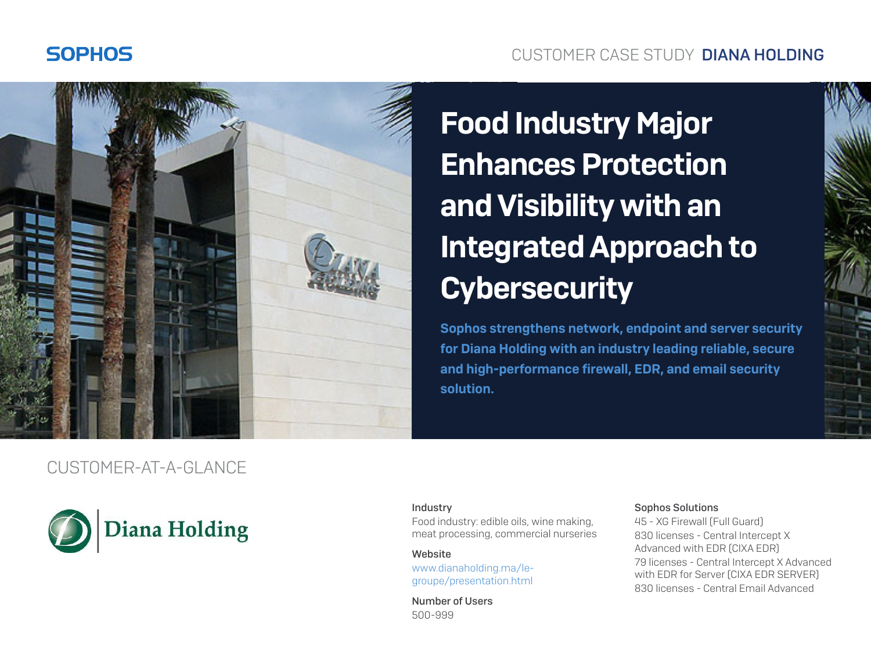### **SOPHOS**

### CUSTOMER CASE STUDY DIANA HOLDING



# Food Industry Major Enhances Protection and Visibility with an Integrated Approach to **Cybersecurity**

Sophos strengthens network, endpoint and server security for Diana Holding with an industry leading reliable, secure and high-performance firewall, EDR, and email security solution.

### CUSTOMER-AT-A-GLANCE



#### Industry

Food industry: edible oils, wine making, meat processing, commercial nurseries

#### **Website**

[www.dianaholding.ma/le](http://www.dianaholding.ma/le-groupe/presentation.html)[groupe/presentation.html](http://www.dianaholding.ma/le-groupe/presentation.html)

Number of Users 500-999

#### Sophos Solutions

45 - XG Firewall (Full Guard) 830 licenses - Central Intercept X Advanced with EDR (CIXA EDR) 79 licenses - Central Intercept X Advanced with EDR for Server (CIXA EDR SERVER) 830 licenses - Central Email Advanced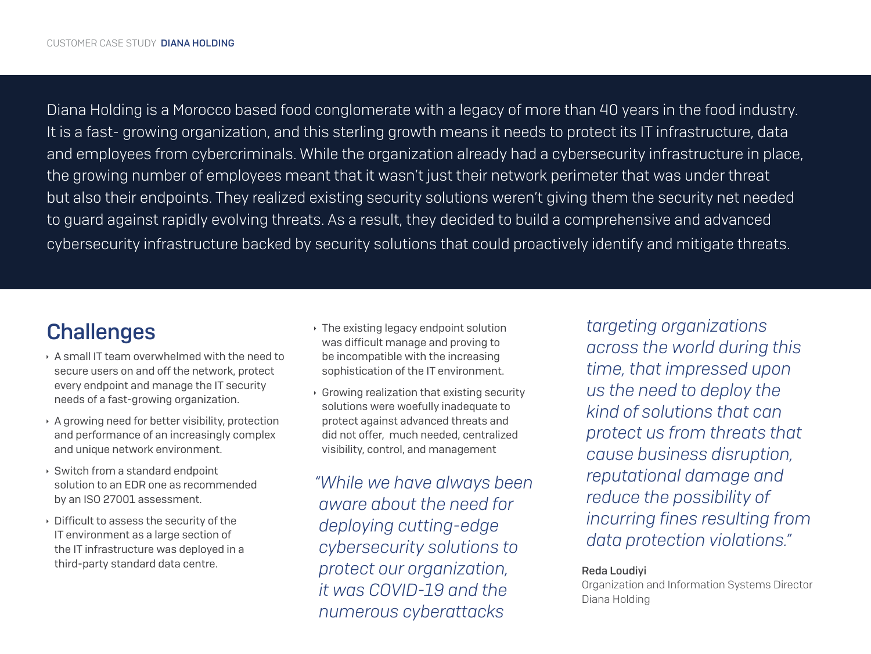Diana Holding is a Morocco based food conglomerate with a legacy of more than 40 years in the food industry. It is a fast- growing organization, and this sterling growth means it needs to protect its IT infrastructure, data and employees from cybercriminals. While the organization already had a cybersecurity infrastructure in place, the growing number of employees meant that it wasn't just their network perimeter that was under threat but also their endpoints. They realized existing security solutions weren't giving them the security net needed to guard against rapidly evolving threats. As a result, they decided to build a comprehensive and advanced cybersecurity infrastructure backed by security solutions that could proactively identify and mitigate threats.

# **Challenges**

- Ì A small IT team overwhelmed with the need to secure users on and off the network, protect every endpoint and manage the IT security needs of a fast-growing organization.
- $\rightarrow$  A growing need for better visibility, protection and performance of an increasingly complex and unique network environment.
- $\rightarrow$  Switch from a standard endpoint solution to an EDR one as recommended by an ISO 27001 assessment.
- $\rightarrow$  Difficult to assess the security of the IT environment as a large section of the IT infrastructure was deployed in a third-party standard data centre.
- $\rightarrow$  The existing legacy endpoint solution was difficult manage and proving to be incompatible with the increasing sophistication of the IT environment.
- $\cdot$  Growing realization that existing security solutions were woefully inadequate to protect against advanced threats and did not offer, much needed, centralized visibility, control, and management

*"While we have always been aware about the need for deploying cutting-edge cybersecurity solutions to protect our organization, it was COVID-19 and the numerous cyberattacks* 

*targeting organizations across the world during this time, that impressed upon us the need to deploy the kind of solutions that can protect us from threats that cause business disruption, reputational damage and reduce the possibility of incurring fines resulting from data protection violations."* 

#### Reda Loudiyi

Organization and Information Systems Director Diana Holding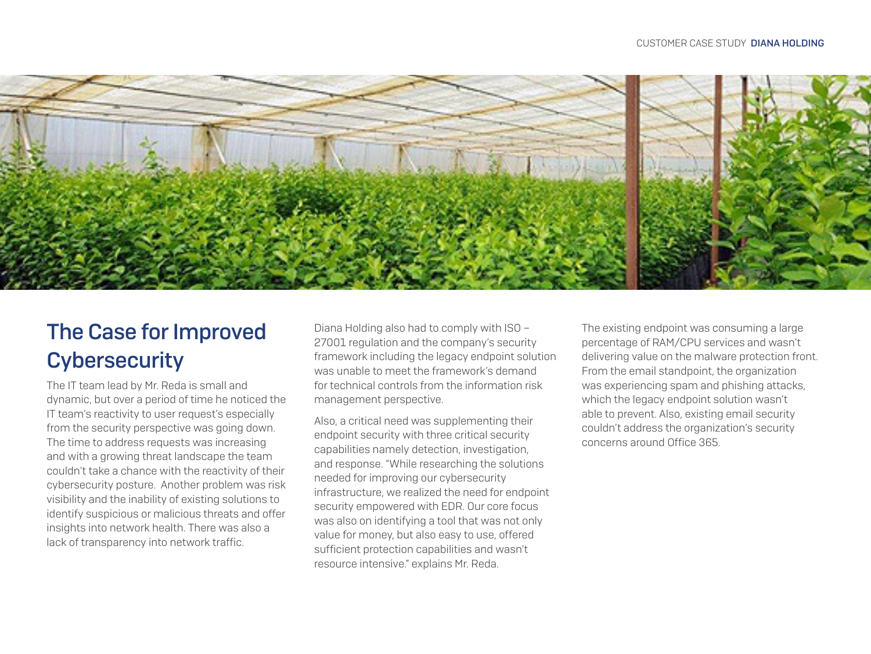

# The Case for Improved **Cybersecurity**

The IT team lead by Mr. Reda is small and dynamic, but over a period of time he noticed the IT team's reactivity to user request's especially from the security perspective was going down. The time to address requests was increasing and with a growing threat landscape the team couldn't take a chance with the reactivity of their cybersecurity posture. Another problem was risk visibility and the inability of existing solutions to identify suspicious or malicious threats and offer insights into network health. There was also a lack of transparency into network traffic.

Diana Holding also had to comply with ISO – 27001 regulation and the company's security framework including the legacy endpoint solution was unable to meet the framework's demand for technical controls from the information risk management perspective.

Also, a critical need was supplementing their endpoint security with three critical security capabilities namely detection, investigation, and response. "While researching the solutions needed for improving our cybersecurity infrastructure, we realized the need for endpoint security empowered with EDR. Our core focus was also on identifying a tool that was not only value for money, but also easy to use, offered sufficient protection capabilities and wasn't resource intensive." explains Mr. Reda.

The existing endpoint was consuming a large percentage of RAM/CPU services and wasn't delivering value on the malware protection front. From the email standpoint, the organization was experiencing spam and phishing attacks, which the legacy endpoint solution wasn't able to prevent. Also, existing email security couldn't address the organization's security concerns around Office 365.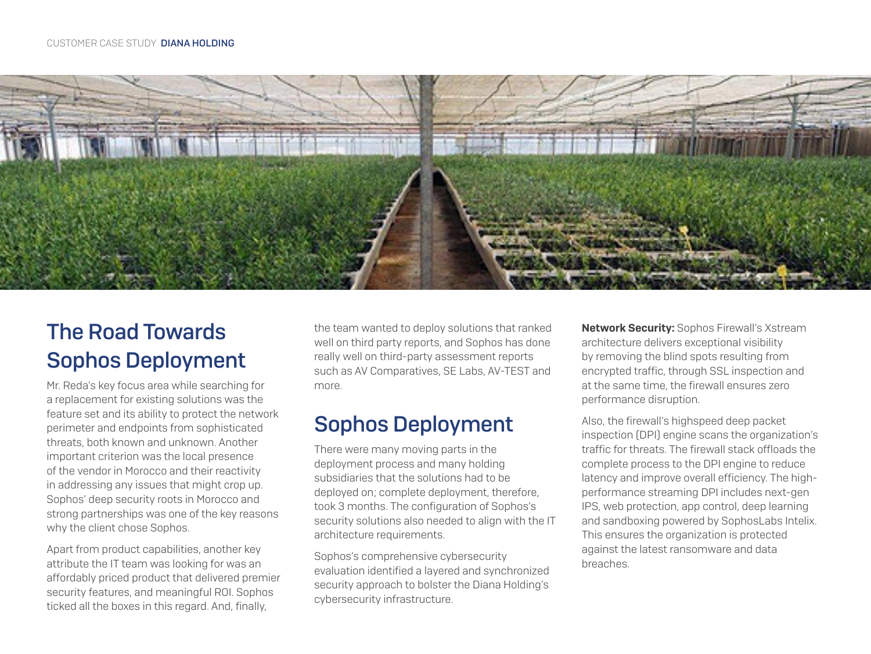

# The Road Towards Sophos Deployment

Mr. Reda's key focus area while searching for a replacement for existing solutions was the feature set and its ability to protect the network perimeter and endpoints from sophisticated threats, both known and unknown. Another important criterion was the local presence of the vendor in Morocco and their reactivity in addressing any issues that might crop up. Sophos' deep security roots in Morocco and strong partnerships was one of the key reasons why the client chose Sophos.

Apart from product capabilities, another key attribute the IT team was looking for was an affordably priced product that delivered premier security features, and meaningful ROI. Sophos ticked all the boxes in this regard. And, finally,

the team wanted to deploy solutions that ranked well on third party reports, and Sophos has done really well on third-party assessment reports such as AV Comparatives, SE Labs, AV-TEST and more.

# Sophos Deployment

There were many moving parts in the deployment process and many holding subsidiaries that the solutions had to be deployed on; complete deployment, therefore, took 3 months. The configuration of Sophos's security solutions also needed to align with the IT architecture requirements.

Sophos's comprehensive cybersecurity evaluation identified a layered and synchronized security approach to bolster the Diana Holding's cybersecurity infrastructure.

**Network Security:** Sophos Firewall's Xstream architecture delivers exceptional visibility by removing the blind spots resulting from encrypted traffic, through SSL inspection and at the same time, the firewall ensures zero performance disruption.

Also, the firewall's highspeed deep packet inspection (DPI) engine scans the organization's traffic for threats. The firewall stack offloads the complete process to the DPI engine to reduce latency and improve overall efficiency. The highperformance streaming DPI includes next-gen IPS, web protection, app control, deep learning and sandboxing powered by SophosLabs Intelix. This ensures the organization is protected against the latest ransomware and data breaches.